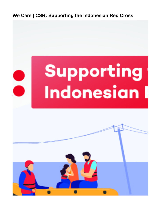**We Care | CSR: Supporting the Indonesian Red Cross**

<span id="page-0-0"></span>